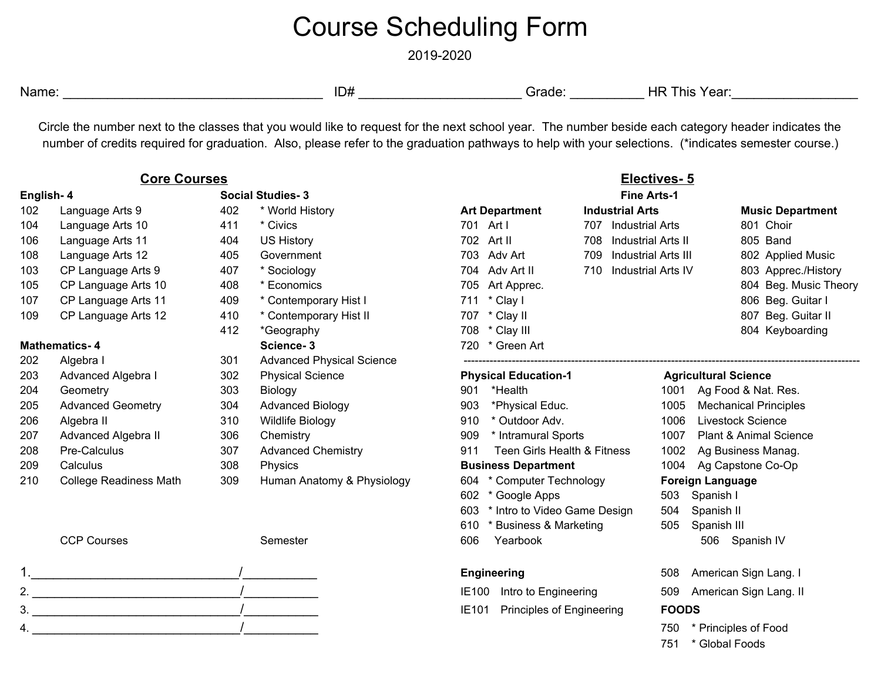## Course Scheduling Form

2019-2020

Name: \_\_\_\_\_\_\_\_\_\_\_\_\_\_\_\_\_\_\_\_\_\_\_\_\_\_\_\_\_\_\_\_\_\_\_ ID# \_\_\_\_\_\_\_\_\_\_\_\_\_\_\_\_\_\_\_\_\_\_ Grade: \_\_\_\_\_\_\_\_\_\_ HR This Year:\_\_\_\_\_\_\_\_\_\_\_\_\_\_\_\_\_

Circle the number next to the classes that you would like to request for the next school year. The number beside each category header indicates the number of credits required for graduation. Also, please refer to the graduation pathways to help with your selections. (\*indicates semester course.)

| <b>Core Courses</b>  |                               |     |                                  | Electives-5                         |                        |                            |                                   |
|----------------------|-------------------------------|-----|----------------------------------|-------------------------------------|------------------------|----------------------------|-----------------------------------|
| English-4            |                               |     | <b>Social Studies-3</b>          | <b>Fine Arts-1</b>                  |                        |                            |                                   |
| 102                  | Language Arts 9               | 402 | * World History                  | <b>Art Department</b>               | <b>Industrial Arts</b> |                            | <b>Music Department</b>           |
| 104                  | Language Arts 10              | 411 | * Civics                         | 701 Art I                           | 707<br>Industrial Arts |                            | 801 Choir                         |
| 106                  | Language Arts 11              | 404 | <b>US History</b>                | 702<br>Art II                       | 708                    | <b>Industrial Arts II</b>  | 805 Band                          |
| 108                  | Language Arts 12              | 405 | Government                       | 703<br>Adv Art                      | 709                    | <b>Industrial Arts III</b> | 802 Applied Music                 |
| 103                  | CP Language Arts 9            | 407 | * Sociology                      | Adv Art II<br>704                   | 710                    | <b>Industrial Arts IV</b>  | 803 Apprec./History               |
| 105                  | CP Language Arts 10           | 408 | * Economics                      | 705<br>Art Apprec.                  |                        |                            | 804 Beg. Music Theory             |
| 107                  | CP Language Arts 11           | 409 | * Contemporary Hist I            | * Clay I<br>711                     |                        |                            | 806 Beg. Guitar I                 |
| 109                  | CP Language Arts 12           | 410 | * Contemporary Hist II           | 707 * Clay II                       |                        |                            | 807 Beg. Guitar II                |
|                      |                               | 412 | *Geography                       | 708 * Clay III                      |                        |                            | 804 Keyboarding                   |
| <b>Mathematics-4</b> |                               |     | Science-3                        | 720 * Green Art                     |                        |                            |                                   |
| 202                  | Algebra I                     | 301 | <b>Advanced Physical Science</b> |                                     |                        |                            |                                   |
| 203                  | Advanced Algebra I            | 302 | <b>Physical Science</b>          | <b>Physical Education-1</b>         |                        |                            | <b>Agricultural Science</b>       |
| 204                  | Geometry                      | 303 | Biology                          | *Health<br>901                      |                        | 1001                       | Ag Food & Nat. Res.               |
| 205                  | <b>Advanced Geometry</b>      | 304 | <b>Advanced Biology</b>          | 903<br>*Physical Educ.              |                        | 1005                       | <b>Mechanical Principles</b>      |
| 206                  | Algebra II                    | 310 | <b>Wildlife Biology</b>          | * Outdoor Adv.<br>910               |                        | 1006                       | Livestock Science                 |
| 207                  | Advanced Algebra II           | 306 | Chemistry                        | 909                                 | * Intramural Sports    |                            | <b>Plant &amp; Animal Science</b> |
| 208                  | Pre-Calculus                  | 307 | <b>Advanced Chemistry</b>        | Teen Girls Health & Fitness<br>911  |                        | 1002                       | Ag Business Manag.                |
| 209                  | Calculus                      | 308 | Physics                          | <b>Business Department</b>          |                        |                            | 1004 Ag Capstone Co-Op            |
| 210                  | <b>College Readiness Math</b> | 309 | Human Anatomy & Physiology       | 604 * Computer Technology           |                        |                            | <b>Foreign Language</b>           |
|                      |                               |     |                                  | 602 * Google Apps                   |                        | 503                        | Spanish I                         |
|                      |                               |     |                                  | 603<br>* Intro to Video Game Design |                        | 504                        | Spanish II                        |
|                      |                               |     |                                  | * Business & Marketing<br>610       |                        | 505                        | Spanish III                       |

\* Global Foods



CCP Courses CCP Courses CCP Courses Semester Semester 606 Yearbook 506 Spanish IV